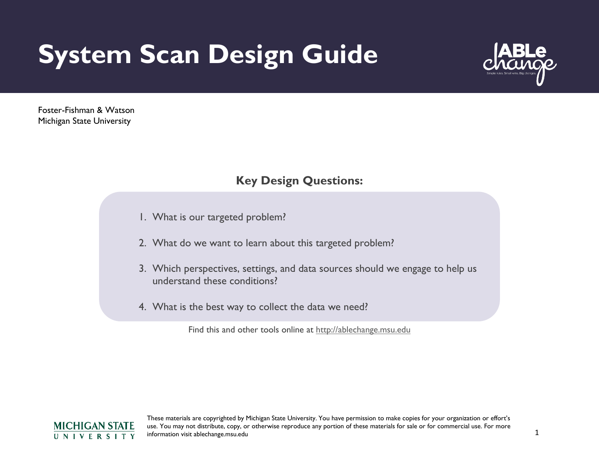# **System Scan Design Guide**



Foster-Fishman & Watson Michigan State University

## **Key Design Questions:**

- 1. What is our targeted problem?
- 2. What do we want to learn about this targeted problem?
- 3. Which perspectives, settings, and data sources should we engage to help us understand these conditions?
- 4. What is the best way to collect the data we need?

Find this and other tools online at [http://ablechange.msu.edu](http://ablechange.msu.edu/)

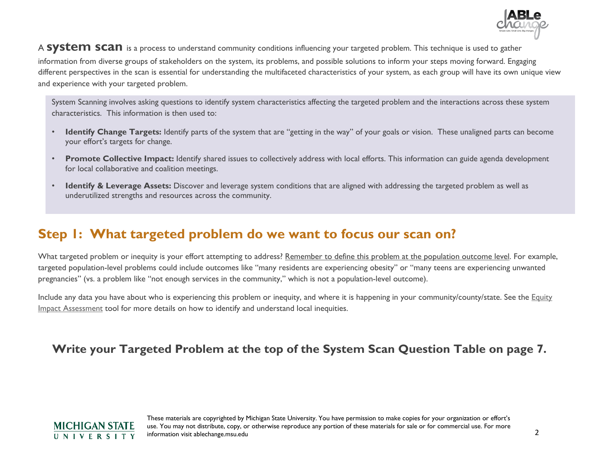

#### A **SYSTEM SCAN** is a process to understand community conditions influencing your targeted problem. This technique is used to gather

information from diverse groups of stakeholders on the system, its problems, and possible solutions to inform your steps moving forward. Engaging different perspectives in the scan is essential for understanding the multifaceted characteristics of your system, as each group will have its own unique view and experience with your targeted problem.

System Scanning involves asking questions to identify system characteristics affecting the targeted problem and the interactions across these system characteristics. This information is then used to:

- **Identify Change Targets:** Identify parts of the system that are "getting in the way" of your goals or vision. These unaligned parts can become your effort's targets for change.
- **Promote Collective Impact:** Identify shared issues to collectively address with local efforts. This information can guide agenda development for local collaborative and coalition meetings.
- **Identify & Leverage Assets:** Discover and leverage system conditions that are aligned with addressing the targeted problem as well as underutilized strengths and resources across the community.

## **Step 1: What targeted problem do we want to focus our scan on?**

What targeted problem or inequity is your effort attempting to address? Remember to define this problem at the population outcome level. For example, targeted population-level problems could include outcomes like "many residents are experiencing obesity" or "many teens are experiencing unwanted pregnancies" (vs. a problem like "not enough services in the community," which is not a population-level outcome).

Include any data you have about who is experiencing this problem or inequity, and where it is happening in your community/county/state. See the Equity [Impact Assessment](http://systemexchange.org/download_file/54/0) tool for more details on how to identify and understand local inequities.

### **Write your Targeted Problem at the top of the System Scan Question Table on page 7.**

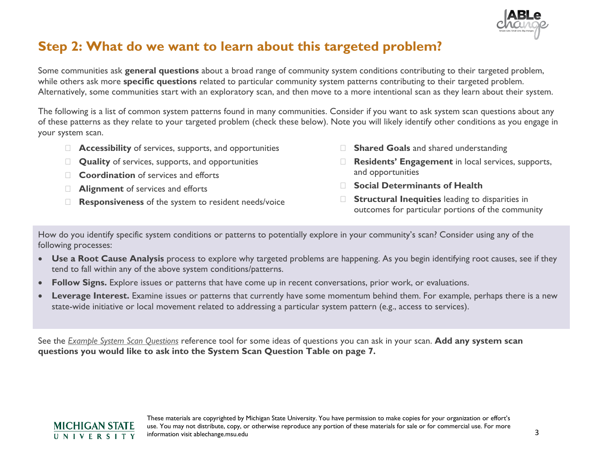

# **Step 2: What do we want to learn about this targeted problem?**

Some communities ask **general questions** about a broad range of community system conditions contributing to their targeted problem, while others ask more **specific questions** related to particular community system patterns contributing to their targeted problem. Alternatively, some communities start with an exploratory scan, and then move to a more intentional scan as they learn about their system.

The following is a list of common system patterns found in many communities. Consider if you want to ask system scan questions about any of these patterns as they relate to your targeted problem (check these below). Note you will likely identify other conditions as you engage in your system scan.

- **Accessibility** of services, supports, and opportunities
- **Quality** of services, supports, and opportunities
- **Coordination** of services and efforts
- **Alignment** of services and efforts
- **Responsiveness** of the system to resident needs/voice
- **Shared Goals** and shared understanding
- **Residents' Engagement** in local services, supports, and opportunities
- **Social Determinants of Health**
- **Structural Inequities** leading to disparities in outcomes for particular portions of the community

How do you identify specific system conditions or patterns to potentially explore in your community's scan? Consider using any of the following processes:

- **Use a Root Cause Analysis** process to explore why targeted problems are happening. As you begin identifying root causes, see if they tend to fall within any of the above system conditions/patterns.
- **Follow Signs.** Explore issues or patterns that have come up in recent conversations, prior work, or evaluations.
- **Leverage Interest.** Examine issues or patterns that currently have some momentum behind them. For example, perhaps there is a new state-wide initiative or local movement related to addressing a particular system pattern (e.g., access to services).

See the *[Example System Scan Questions](http://systemexchange.org/download_file/99/0)* reference tool for some ideas of questions you can ask in your scan. **Add any system scan questions you would like to ask into the System Scan Question Table on page 7.**

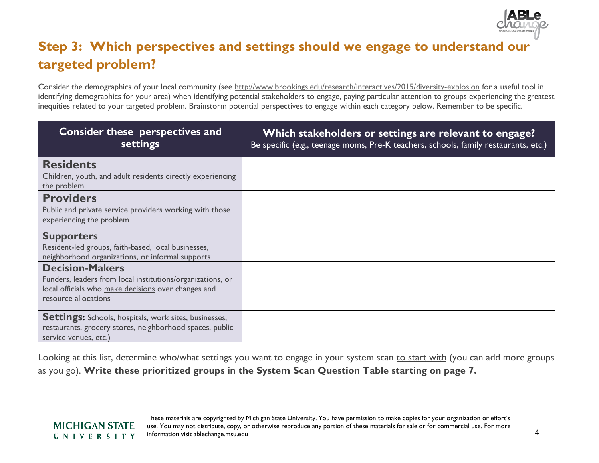

# **Step 3: Which perspectives and settings should we engage to understand our targeted problem?**

Consider the demographics of your local community (see<http://www.brookings.edu/research/interactives/2015/diversity-explosion> for a useful tool in identifying demographics for your area) when identifying potential stakeholders to engage, paying particular attention to groups experiencing the greatest inequities related to your targeted problem. Brainstorm potential perspectives to engage within each category below. Remember to be specific.

| <b>Consider these perspectives and</b><br>settings                                                                                                                  | Which stakeholders or settings are relevant to engage?<br>Be specific (e.g., teenage moms, Pre-K teachers, schools, family restaurants, etc.) |
|---------------------------------------------------------------------------------------------------------------------------------------------------------------------|-----------------------------------------------------------------------------------------------------------------------------------------------|
| <b>Residents</b><br>Children, youth, and adult residents directly experiencing<br>the problem                                                                       |                                                                                                                                               |
| <b>Providers</b><br>Public and private service providers working with those<br>experiencing the problem                                                             |                                                                                                                                               |
| <b>Supporters</b><br>Resident-led groups, faith-based, local businesses,<br>neighborhood organizations, or informal supports                                        |                                                                                                                                               |
| <b>Decision-Makers</b><br>Funders, leaders from local institutions/organizations, or<br>local officials who make decisions over changes and<br>resource allocations |                                                                                                                                               |
| <b>Settings:</b> Schools, hospitals, work sites, businesses,<br>restaurants, grocery stores, neighborhood spaces, public<br>service venues, etc.)                   |                                                                                                                                               |

Looking at this list, determine who/what settings you want to engage in your system scan to start with (you can add more groups as you go). **Write these prioritized groups in the System Scan Question Table starting on page 7.**

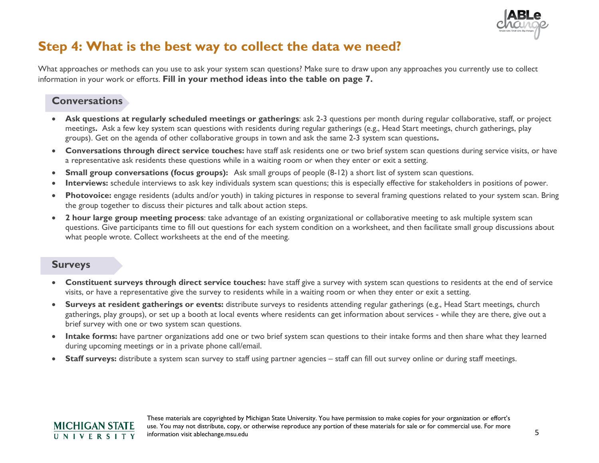

# **Step 4: What is the best way to collect the data we need?**

What approaches or methods can you use to ask your system scan questions? Make sure to draw upon any approaches you currently use to collect information in your work or efforts. **Fill in your method ideas into the table on page 7.**

#### **Conversations**

- **Ask questions at regularly scheduled meetings or gatherings**: ask 2-3 questions per month during regular collaborative, staff, or project meetings**.** Ask a few key system scan questions with residents during regular gatherings (e.g., Head Start meetings, church gatherings, play groups). Get on the agenda of other collaborative groups in town and ask the same 2-3 system scan questions**.**
- **Conversations through direct service touches:** have staff ask residents one or two brief system scan questions during service visits, or have a representative ask residents these questions while in a waiting room or when they enter or exit a setting.
- **Small group conversations (focus groups):** Ask small groups of people (8-12) a short list of system scan questions.
- **Interviews:** schedule interviews to ask key individuals system scan questions; this is especially effective for stakeholders in positions of power.
- **Photovoice:** engage residents (adults and/or youth) in taking pictures in response to several framing questions related to your system scan. Bring the group together to discuss their pictures and talk about action steps.
- **2 hour large group meeting process**: take advantage of an existing organizational or collaborative meeting to ask multiple system scan questions. Give participants time to fill out questions for each system condition on a worksheet, and then facilitate small group discussions about what people wrote. Collect worksheets at the end of the meeting.

#### **Surveys**

- **Constituent surveys through direct service touches:** have staff give a survey with system scan questions to residents at the end of service visits, or have a representative give the survey to residents while in a waiting room or when they enter or exit a setting.
- **Surveys at resident gatherings or events:** distribute surveys to residents attending regular gatherings (e.g., Head Start meetings, church gatherings, play groups), or set up a booth at local events where residents can get information about services - while they are there, give out a brief survey with one or two system scan questions.
- **Intake forms:** have partner organizations add one or two brief system scan questions to their intake forms and then share what they learned during upcoming meetings or in a private phone call/email.
- **Staff surveys:** distribute a system scan survey to staff using partner agencies staff can fill out survey online or during staff meetings.

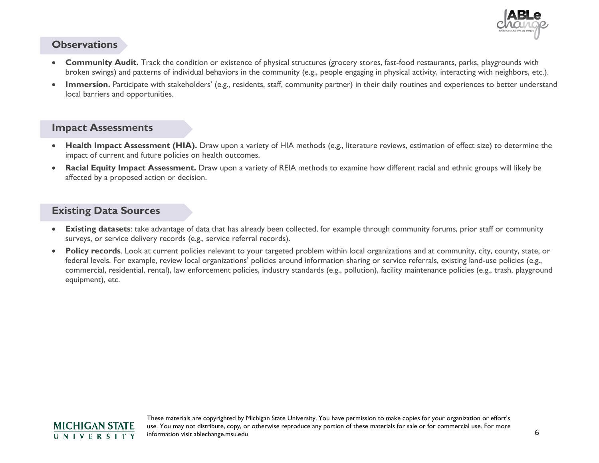

#### **Observations**

- broken swings) and patterns of individual behaviors in the community (e.g., people engaging in physical activity, interacting with neighbors, etc.). • **Community Audit.** Track the condition or existence of physical structures (grocery stores, fast-food restaurants, parks, playgrounds with
- Immersion. Participate with stakeholders' (e.g., residents, staff, community partner) in their daily routines and experiences to better understand local barriers and opportunities.

#### **Impact Assessments**

- **Health Impact Assessment (HIA).** Draw upon a variety of HIA methods (e.g., literature reviews, estimation of effect size) to determine the impact of current and future policies on health outcomes.
- **Racial Equity Impact Assessment.** Draw upon a variety of REIA methods to examine how different racial and ethnic groups will likely be affected by a proposed action or decision.

#### **Existing Data Sources**

- **Existing datasets**: take advantage of data that has already been collected, for example through community forums, prior staff or community surveys, or service delivery records (e.g., service referral records).
- **Policy records**. Look at current policies relevant to your targeted problem within local organizations and at community, city, county, state, or federal levels. For example, review local organizations' policies around information sharing or service referrals, existing land-use policies (e.g., commercial, residential, rental), law enforcement policies, industry standards (e.g., pollution), facility maintenance policies (e.g., trash, playground equipment), etc.

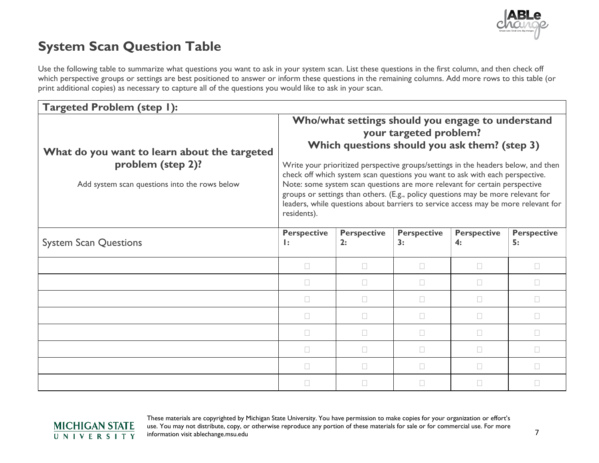

# **System Scan Question Table**

Use the following table to summarize what questions you want to ask in your system scan. List these questions in the first column, and then check off which perspective groups or settings are best positioned to answer or inform these questions in the remaining columns. Add more rows to this table (or print additional copies) as necessary to capture all of the questions you would like to ask in your scan.

| <b>Targeted Problem (step I):</b>                                                                                  |                                                                                                                                                                                                                                                                                                                                                                                                                                                                                                                                                                          |                          |                          |                          |                          |  |
|--------------------------------------------------------------------------------------------------------------------|--------------------------------------------------------------------------------------------------------------------------------------------------------------------------------------------------------------------------------------------------------------------------------------------------------------------------------------------------------------------------------------------------------------------------------------------------------------------------------------------------------------------------------------------------------------------------|--------------------------|--------------------------|--------------------------|--------------------------|--|
| What do you want to learn about the targeted<br>problem (step 2)?<br>Add system scan questions into the rows below | Who/what settings should you engage to understand<br>your targeted problem?<br>Which questions should you ask them? (step 3)<br>Write your prioritized perspective groups/settings in the headers below, and then<br>check off which system scan questions you want to ask with each perspective.<br>Note: some system scan questions are more relevant for certain perspective<br>groups or settings than others. (E.g., policy questions may be more relevant for<br>leaders, while questions about barriers to service access may be more relevant for<br>residents). |                          |                          |                          |                          |  |
| <b>System Scan Questions</b>                                                                                       | <b>Perspective</b><br>$\mathbf{I}$ :                                                                                                                                                                                                                                                                                                                                                                                                                                                                                                                                     | <b>Perspective</b><br>2: | <b>Perspective</b><br>3: | <b>Perspective</b><br>4: | <b>Perspective</b><br>5: |  |
|                                                                                                                    | $\Box$                                                                                                                                                                                                                                                                                                                                                                                                                                                                                                                                                                   | $\Box$                   | $\Box$                   | $\Box$                   | $\Box$                   |  |
|                                                                                                                    | $\Box$                                                                                                                                                                                                                                                                                                                                                                                                                                                                                                                                                                   | $\Box$                   | $\mathbf{L}$             | $\Box$                   | П                        |  |
|                                                                                                                    | П                                                                                                                                                                                                                                                                                                                                                                                                                                                                                                                                                                        | П                        | $\Box$                   | $\Box$                   | $\Box$                   |  |
|                                                                                                                    | П                                                                                                                                                                                                                                                                                                                                                                                                                                                                                                                                                                        | П                        | П                        | $\Box$                   | П                        |  |
|                                                                                                                    | $\Box$                                                                                                                                                                                                                                                                                                                                                                                                                                                                                                                                                                   | П                        | $\Box$                   | $\Box$                   | $\Box$                   |  |
|                                                                                                                    | $\Box$                                                                                                                                                                                                                                                                                                                                                                                                                                                                                                                                                                   | П                        | $\Box$                   | $\Box$                   | $\Box$                   |  |
|                                                                                                                    | $\Box$                                                                                                                                                                                                                                                                                                                                                                                                                                                                                                                                                                   | П                        | П                        | $\Box$                   | П                        |  |
|                                                                                                                    | П                                                                                                                                                                                                                                                                                                                                                                                                                                                                                                                                                                        | П                        | $\Box$                   | $\Box$                   | $\Box$                   |  |

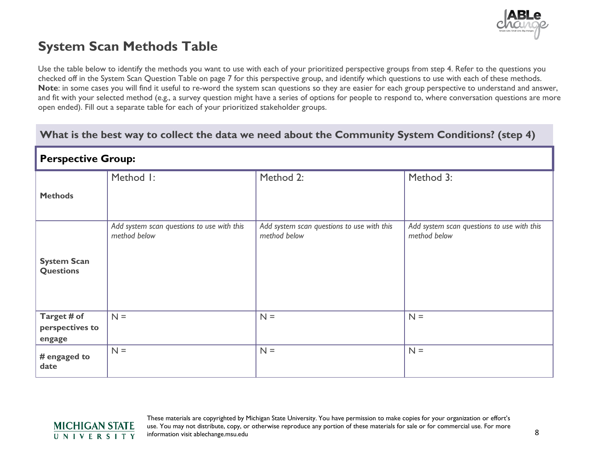

# **System Scan Methods Table**

Use the table below to identify the methods you want to use with each of your prioritized perspective groups from step 4. Refer to the questions you checked off in the System Scan Question Table on page 7 for this perspective group, and identify which questions to use with each of these methods. **Note**: in some cases you will find it useful to re-word the system scan questions so they are easier for each group perspective to understand and answer, and fit with your selected method (e.g., a survey question might have a series of options for people to respond to, where conversation questions are more open ended). Fill out a separate table for each of your prioritized stakeholder groups.

#### **What is the best way to collect the data we need about the Community System Conditions? (step 4)**

| <b>Perspective Group:</b>                |                                                            |                                                            |                                                            |  |  |  |
|------------------------------------------|------------------------------------------------------------|------------------------------------------------------------|------------------------------------------------------------|--|--|--|
| <b>Methods</b>                           | Method I:                                                  | Method 2:                                                  | Method 3:                                                  |  |  |  |
| <b>System Scan</b><br><b>Questions</b>   | Add system scan questions to use with this<br>method below | Add system scan questions to use with this<br>method below | Add system scan questions to use with this<br>method below |  |  |  |
| Target # of<br>perspectives to<br>engage | $N =$                                                      | $N =$                                                      | $N =$                                                      |  |  |  |
| # engaged to<br>date                     | $N =$                                                      | $N =$                                                      | $N =$                                                      |  |  |  |